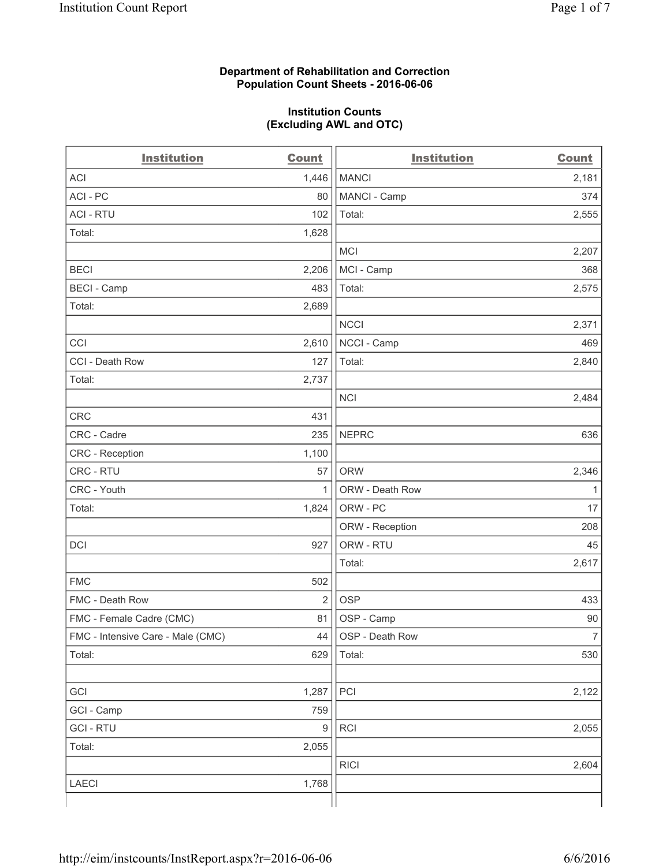# **Department of Rehabilitation and Correction Population Count Sheets - 2016-06-06**

# **Institution Counts (Excluding AWL and OTC)**

| <b>Institution</b>                | <b>Count</b>     | <b>Institution</b> | <b>Count</b>   |
|-----------------------------------|------------------|--------------------|----------------|
| <b>ACI</b>                        | 1,446            | <b>MANCI</b>       | 2,181          |
| ACI-PC                            | 80               | MANCI - Camp       | 374            |
| <b>ACI - RTU</b>                  | 102              | Total:             | 2,555          |
| Total:                            | 1,628            |                    |                |
|                                   |                  | <b>MCI</b>         | 2,207          |
| <b>BECI</b>                       | 2,206            | MCI - Camp         | 368            |
| <b>BECI</b> - Camp                | 483              | Total:             | 2,575          |
| Total:                            | 2,689            |                    |                |
|                                   |                  | <b>NCCI</b>        | 2,371          |
| CCI                               | 2,610            | NCCI - Camp        | 469            |
| CCI - Death Row                   | 127              | Total:             | 2,840          |
| Total:                            | 2,737            |                    |                |
|                                   |                  | <b>NCI</b>         | 2,484          |
| <b>CRC</b>                        | 431              |                    |                |
| CRC - Cadre                       | 235              | <b>NEPRC</b>       | 636            |
| CRC - Reception                   | 1,100            |                    |                |
| CRC - RTU                         | 57               | <b>ORW</b>         | 2,346          |
| CRC - Youth                       | 1                | ORW - Death Row    | $\mathbf{1}$   |
| Total:                            | 1,824            | ORW - PC           | 17             |
|                                   |                  | ORW - Reception    | 208            |
| DCI                               | 927              | ORW - RTU          | 45             |
|                                   |                  | Total:             | 2,617          |
| <b>FMC</b>                        | 502              |                    |                |
| FMC - Death Row                   | $\overline{2}$   | <b>OSP</b>         | 433            |
| FMC - Female Cadre (CMC)          | 81               | OSP - Camp         | 90             |
| FMC - Intensive Care - Male (CMC) | 44               | OSP - Death Row    | $\overline{7}$ |
| Total:                            | 629              | Total:             | 530            |
|                                   |                  |                    |                |
| GCI                               | 1,287            | PCI                | 2,122          |
| GCI - Camp                        | 759              |                    |                |
| <b>GCI - RTU</b>                  | $\boldsymbol{9}$ | RCI                | 2,055          |
| Total:                            | 2,055            |                    |                |
|                                   |                  | <b>RICI</b>        | 2,604          |
| <b>LAECI</b>                      | 1,768            |                    |                |
|                                   |                  |                    |                |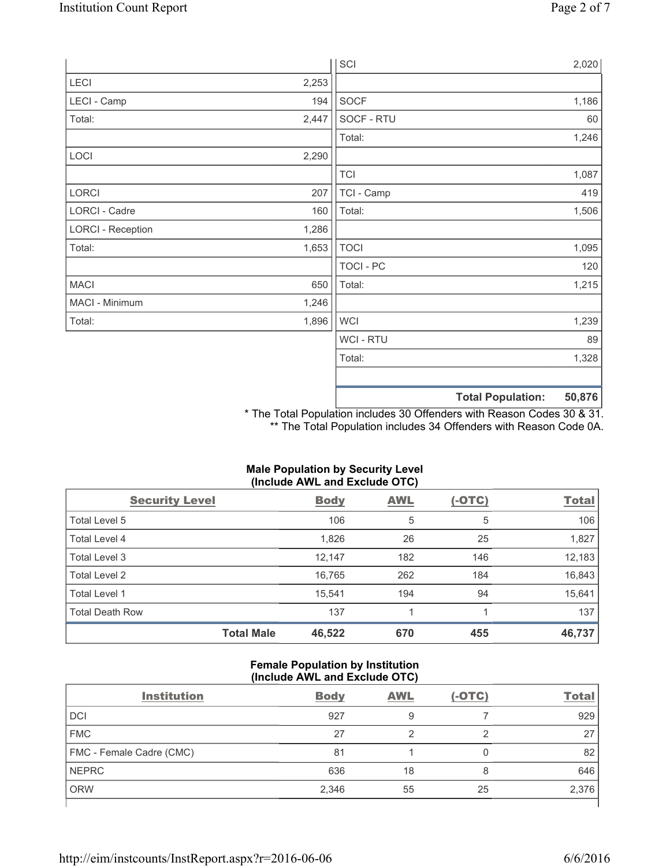|                          |       | SCI            |                          | 2,020  |
|--------------------------|-------|----------------|--------------------------|--------|
| LECI                     | 2,253 |                |                          |        |
| LECI - Camp              | 194   | SOCF           |                          | 1,186  |
| Total:                   | 2,447 | SOCF - RTU     |                          | 60     |
|                          |       | Total:         |                          | 1,246  |
| LOCI                     | 2,290 |                |                          |        |
|                          |       | <b>TCI</b>     |                          | 1,087  |
| LORCI                    | 207   | TCI - Camp     |                          | 419    |
| LORCI - Cadre            | 160   | Total:         |                          | 1,506  |
| <b>LORCI - Reception</b> | 1,286 |                |                          |        |
| Total:                   | 1,653 | <b>TOCI</b>    |                          | 1,095  |
|                          |       | TOCI - PC      |                          | 120    |
| <b>MACI</b>              | 650   | Total:         |                          | 1,215  |
| MACI - Minimum           | 1,246 |                |                          |        |
| Total:                   | 1,896 | <b>WCI</b>     |                          | 1,239  |
|                          |       | <b>WCI-RTU</b> |                          | 89     |
|                          |       | Total:         |                          | 1,328  |
|                          |       |                | <b>Total Population:</b> | 50,876 |

\* The Total Population includes 30 Offenders with Reason Codes 30 & 31. \*\* The Total Population includes 34 Offenders with Reason Code 0A.

| (Include AWL and Exclude OTC) |                   |             |            |               |              |
|-------------------------------|-------------------|-------------|------------|---------------|--------------|
| <b>Security Level</b>         |                   | <b>Body</b> | <b>AWL</b> | <u>(-OTC)</u> | <b>Total</b> |
| Total Level 5                 |                   | 106         | 5          | 5             | 106          |
| <b>Total Level 4</b>          |                   | 1,826       | 26         | 25            | 1,827        |
| Total Level 3                 |                   | 12,147      | 182        | 146           | 12,183       |
| Total Level 2                 |                   | 16,765      | 262        | 184           | 16,843       |
| Total Level 1                 |                   | 15,541      | 194        | 94            | 15,641       |
| <b>Total Death Row</b>        |                   | 137         |            | 1             | 137          |
|                               | <b>Total Male</b> | 46,522      | 670        | 455           | 46,737       |

# **Male Population by Security Level**

# **Female Population by Institution (Include AWL and Exclude OTC)**

| <b>Institution</b>       | <b>Body</b> | <b>AWL</b> | $(-OTC)$ | <b>Total</b> |
|--------------------------|-------------|------------|----------|--------------|
| <b>DCI</b>               | 927         | 9          |          | 929          |
| <b>FMC</b>               | 27          |            | ⌒        | 27           |
| FMC - Female Cadre (CMC) | 81          |            | 0        | 82           |
| <b>NEPRC</b>             | 636         | 18         | 8        | 646          |
| <b>ORW</b>               | 2,346       | 55         | 25       | 2,376        |
|                          |             |            |          |              |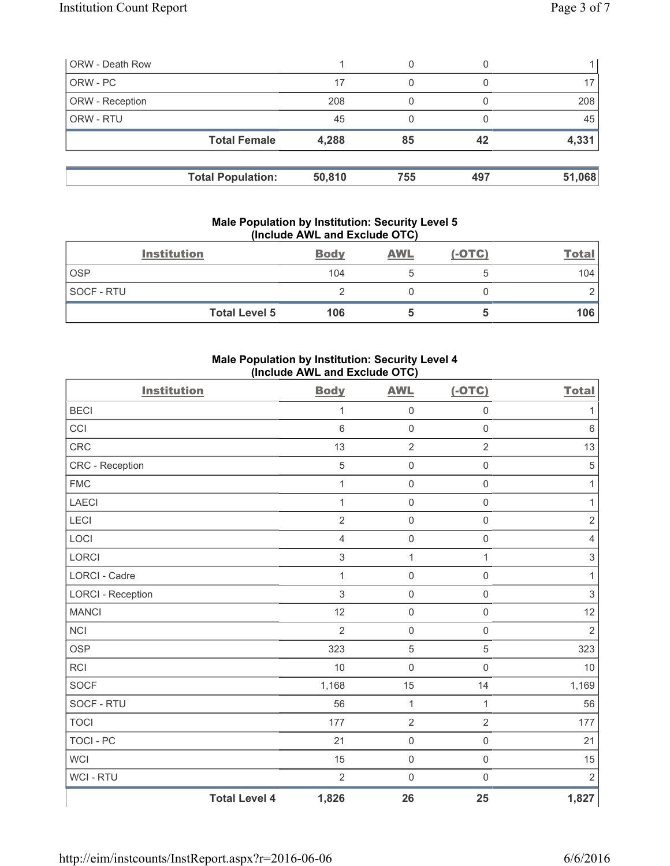| <b>ORW - Death Row</b> |                          |        | 0   |     |        |
|------------------------|--------------------------|--------|-----|-----|--------|
| ORW - PC               |                          | 17     | 0   |     |        |
| ORW - Reception        |                          | 208    |     |     | 208    |
| <b>ORW - RTU</b>       |                          | 45     |     |     | 45     |
|                        | <b>Total Female</b>      | 4,288  | 85  | 42  | 4,331  |
|                        | <b>Total Population:</b> | 50,810 | 755 | 497 | 51,068 |
|                        |                          |        |     |     |        |

# **Male Population by Institution: Security Level 5 (Include AWL and Exclude OTC)**

|            | <b>Institution</b>   | <b>Body</b> | <b>AWL</b> | $(-OTC)$ | <b>Total</b> |
|------------|----------------------|-------------|------------|----------|--------------|
| <b>OSP</b> |                      | 104         |            |          | 104          |
| SOCF - RTU |                      |             |            |          |              |
|            | <b>Total Level 5</b> | 106         |            |          | 106          |

# **Male Population by Institution: Security Level 4 (Include AWL and Exclude OTC)**

| <b>Institution</b>       |                      | <b>Body</b>    | <b>AWL</b>          | $(-OTC)$            | <b>Total</b>   |
|--------------------------|----------------------|----------------|---------------------|---------------------|----------------|
| <b>BECI</b>              |                      | $\mathbf{1}$   | $\mathsf 0$         | $\mathbf 0$         | 1              |
| CCI                      |                      | 6              | $\mathbf 0$         | $\mathbf 0$         | $\,6\,$        |
| CRC                      |                      | 13             | $\overline{2}$      | $\overline{2}$      | 13             |
| CRC - Reception          |                      | $\overline{5}$ | $\mathbf 0$         | $\mathsf{O}\xspace$ | $\sqrt{5}$     |
| <b>FMC</b>               |                      | $\mathbf{1}$   | $\mathbf 0$         | $\mathsf 0$         | $\mathbf{1}$   |
| <b>LAECI</b>             |                      | 1              | $\mathsf{O}\xspace$ | $\mathsf{O}\xspace$ | 1              |
| LECI                     |                      | $\overline{2}$ | $\mathbf 0$         | $\mathbf 0$         | $\sqrt{2}$     |
| LOCI                     |                      | 4              | $\mathsf{O}\xspace$ | $\mathbf 0$         | $\overline{4}$ |
| <b>LORCI</b>             |                      | 3              | $\mathbf{1}$        | $\mathbf{1}$        | $\sqrt{3}$     |
| <b>LORCI - Cadre</b>     |                      | $\mathbf{1}$   | $\mathbf 0$         | $\mathsf 0$         | $\mathbf{1}$   |
| <b>LORCI - Reception</b> |                      | 3              | $\mathbf 0$         | $\mathsf 0$         | $\sqrt{3}$     |
| <b>MANCI</b>             |                      | 12             | $\mathbf 0$         | $\mathsf{O}\xspace$ | 12             |
| <b>NCI</b>               |                      | $\overline{2}$ | $\mathsf{O}\xspace$ | $\mathsf{O}\xspace$ | $\overline{2}$ |
| <b>OSP</b>               |                      | 323            | $\overline{5}$      | $\overline{5}$      | 323            |
| RCI                      |                      | 10             | $\mathbf 0$         | $\mathsf 0$         | 10             |
| SOCF                     |                      | 1,168          | 15                  | 14                  | 1,169          |
| SOCF - RTU               |                      | 56             | $\mathbf{1}$        | 1                   | 56             |
| <b>TOCI</b>              |                      | 177            | $\overline{2}$      | $\overline{2}$      | 177            |
| <b>TOCI - PC</b>         |                      | 21             | $\mathsf{O}\xspace$ | $\mathsf{O}\xspace$ | 21             |
| <b>WCI</b>               |                      | 15             | $\mathbf 0$         | $\mathsf 0$         | 15             |
| WCI - RTU                |                      | $\overline{2}$ | $\mathsf{O}\xspace$ | $\mathsf{O}\xspace$ | $\sqrt{2}$     |
|                          | <b>Total Level 4</b> | 1,826          | 26                  | 25                  | 1,827          |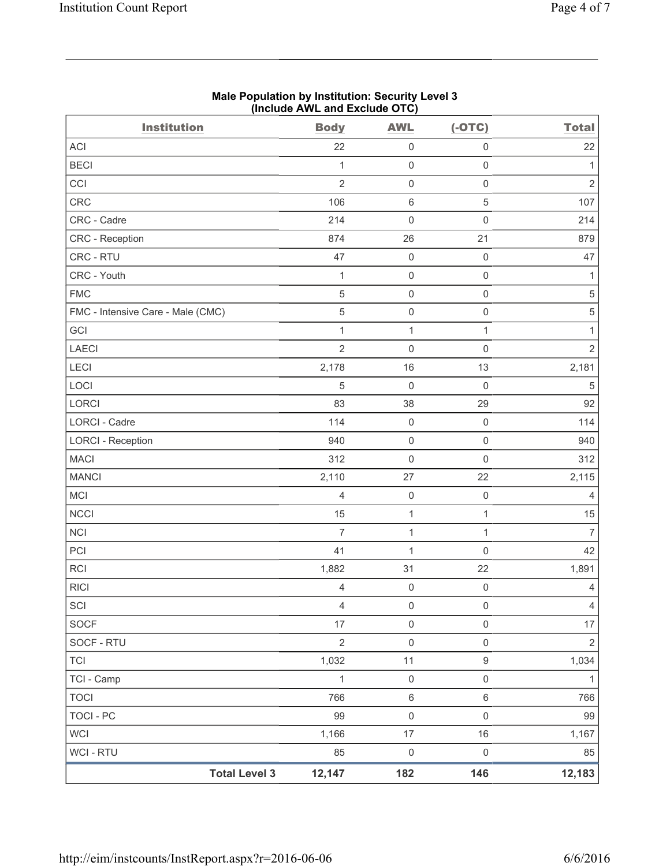|                                   | (Include AWL and Exclude OTC) |                |                     |                     |                |
|-----------------------------------|-------------------------------|----------------|---------------------|---------------------|----------------|
| <b>Institution</b>                |                               | <b>Body</b>    | <b>AWL</b>          | $(-OTC)$            | <b>Total</b>   |
| ACI                               |                               | 22             | $\mathsf{O}\xspace$ | $\mathsf{O}\xspace$ | 22             |
| <b>BECI</b>                       |                               | $\mathbf{1}$   | $\mathsf 0$         | $\mathsf{O}\xspace$ | $\mathbf{1}$   |
| CCI                               |                               | $\overline{2}$ | $\mathsf{O}\xspace$ | $\mathsf{O}\xspace$ | $\overline{2}$ |
| <b>CRC</b>                        |                               | 106            | $\,6\,$             | $\sqrt{5}$          | 107            |
| CRC - Cadre                       |                               | 214            | $\mathbf 0$         | $\mathsf{O}\xspace$ | 214            |
| CRC - Reception                   |                               | 874            | 26                  | 21                  | 879            |
| CRC - RTU                         |                               | 47             | $\mathsf 0$         | $\mathsf 0$         | 47             |
| CRC - Youth                       |                               | $\mathbf{1}$   | $\mathsf 0$         | $\mathsf{O}\xspace$ | $\mathbf{1}$   |
| <b>FMC</b>                        |                               | $\sqrt{5}$     | $\mathsf 0$         | $\mathsf{O}\xspace$ | $\,$ 5 $\,$    |
| FMC - Intensive Care - Male (CMC) |                               | $\sqrt{5}$     | $\mathsf{O}\xspace$ | $\mathsf{O}\xspace$ | $\,$ 5 $\,$    |
| GCI                               |                               | $\mathbf{1}$   | $\mathbf 1$         | $\mathbf{1}$        | $\mathbf{1}$   |
| <b>LAECI</b>                      |                               | $\overline{2}$ | $\mathsf{O}\xspace$ | $\mathsf{O}\xspace$ | $\overline{2}$ |
| LECI                              |                               | 2,178          | 16                  | 13                  | 2,181          |
| LOCI                              |                               | 5              | $\mathsf{O}\xspace$ | $\mathsf 0$         | $\sqrt{5}$     |
| LORCI                             |                               | 83             | 38                  | 29                  | 92             |
| <b>LORCI - Cadre</b>              |                               | 114            | $\mathsf 0$         | $\mathsf 0$         | 114            |
| <b>LORCI - Reception</b>          |                               | 940            | $\mathsf 0$         | $\mathsf{O}\xspace$ | 940            |
| <b>MACI</b>                       |                               | 312            | $\mathsf 0$         | $\mathsf{O}\xspace$ | 312            |
| <b>MANCI</b>                      |                               | 2,110          | 27                  | 22                  | 2,115          |
| MCI                               |                               | $\overline{4}$ | $\mathsf 0$         | $\mathsf{O}\xspace$ | 4              |
| <b>NCCI</b>                       |                               | 15             | $\mathbf{1}$        | $\mathbf{1}$        | 15             |
| <b>NCI</b>                        |                               | $\overline{7}$ | $\mathbf 1$         | $\mathbf{1}$        | $\overline{7}$ |
| PCI                               |                               | 41             | 1                   | $\mathsf{O}\xspace$ | 42             |
| RCI                               |                               | 1,882          | 31                  | 22                  | 1,891          |
| <b>RICI</b>                       |                               | 4              | $\mathbf 0$         | $\mathsf 0$         | 4              |
| SCI                               |                               | $\overline{4}$ | $\mathsf{O}\xspace$ | $\mathsf{O}\xspace$ | $\overline{4}$ |
| SOCF                              |                               | 17             | $\mathsf 0$         | $\mathsf{O}\xspace$ | 17             |
| SOCF - RTU                        |                               | $\overline{2}$ | $\mathsf 0$         | $\mathsf{O}\xspace$ | $\overline{2}$ |
| <b>TCI</b>                        |                               | 1,032          | 11                  | $\boldsymbol{9}$    | 1,034          |
| TCI - Camp                        |                               | 1              | $\mathsf 0$         | $\mathsf{O}\xspace$ | $\mathbf{1}$   |
| <b>TOCI</b>                       |                               | 766            | $\,6\,$             | $\,6\,$             | 766            |
| <b>TOCI - PC</b>                  |                               | 99             | $\mathsf 0$         | $\mathsf{O}\xspace$ | 99             |
| <b>WCI</b>                        |                               | 1,166          | 17                  | 16                  | 1,167          |
| WCI - RTU                         |                               | 85             | $\mathsf 0$         | $\mathsf{O}\xspace$ | 85             |
|                                   | <b>Total Level 3</b>          | 12,147         | 182                 | 146                 | 12,183         |

## **Male Population by Institution: Security Level 3 (Include AWL and Exclude OTC)**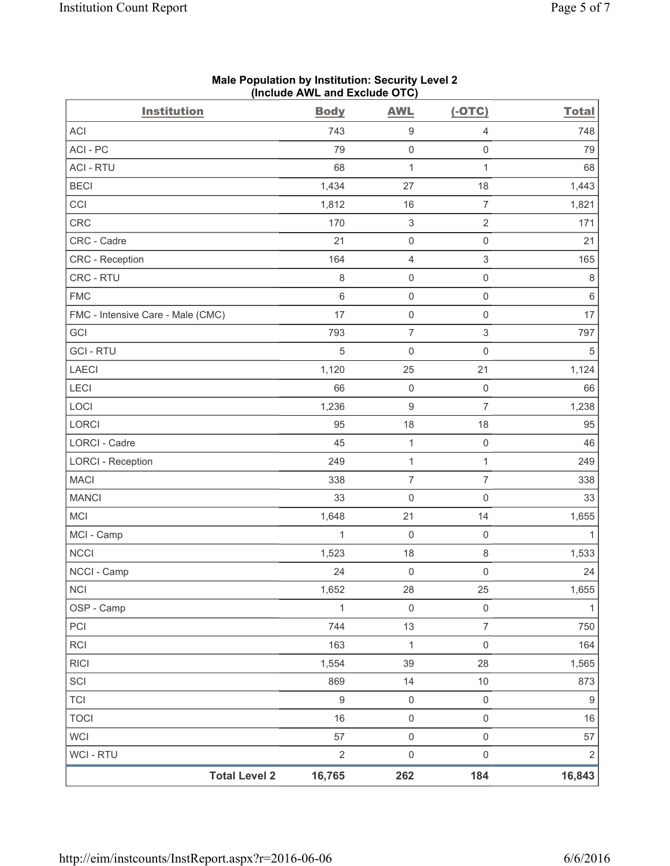| <b>Institution</b>                | <b>Body</b> | <b>AWL</b>                | $(-OTC)$                  | <b>Total</b> |
|-----------------------------------|-------------|---------------------------|---------------------------|--------------|
| <b>ACI</b>                        | 743         | $\boldsymbol{9}$          | $\overline{4}$            | 748          |
| ACI-PC                            | 79          | $\mathsf 0$               | $\mathbf 0$               | 79           |
| <b>ACI - RTU</b>                  | 68          | $\mathbf{1}$              | $\mathbf{1}$              | 68           |
| <b>BECI</b>                       | 1,434       | 27                        | 18                        | 1,443        |
| CCI                               | 1,812       | 16                        | $\overline{7}$            | 1,821        |
| CRC                               | 170         | $\ensuremath{\mathsf{3}}$ | $\mathbf 2$               | 171          |
| CRC - Cadre                       | 21          | 0                         | $\mathsf 0$               | 21           |
| CRC - Reception                   | 164         | 4                         | $\mathsf 3$               | 165          |
| CRC - RTU                         | 8           | $\mathsf{O}\xspace$       | $\mathsf 0$               | 8            |
| <b>FMC</b>                        | $6\,$       | $\mathsf 0$               | $\mathsf 0$               | $\,6\,$      |
| FMC - Intensive Care - Male (CMC) | 17          | 0                         | $\mathsf 0$               | 17           |
| GCI                               | 793         | $\overline{7}$            | $\ensuremath{\mathsf{3}}$ | 797          |
| <b>GCI-RTU</b>                    | $\sqrt{5}$  | $\mathsf 0$               | $\mathsf 0$               | $\sqrt{5}$   |
| <b>LAECI</b>                      | 1,120       | 25                        | 21                        | 1,124        |
| <b>LECI</b>                       | 66          | $\mathsf{O}\xspace$       | $\mathsf 0$               | 66           |
| LOCI                              | 1,236       | $\hbox{9}$                | $\overline{7}$            | 1,238        |
| LORCI                             | 95          | 18                        | 18                        | 95           |
| LORCI - Cadre                     | 45          | $\mathbf{1}$              | $\mathsf 0$               | 46           |
| <b>LORCI - Reception</b>          | 249         | $\mathbf{1}$              | $\mathbf{1}$              | 249          |
| <b>MACI</b>                       | 338         | $\overline{7}$            | $\overline{7}$            | 338          |
| <b>MANCI</b>                      | 33          | 0                         | $\mathsf 0$               | 33           |
| <b>MCI</b>                        | 1,648       | 21                        | 14                        | 1,655        |
| MCI - Camp                        | 1           | 0                         | $\mathsf 0$               | 1            |
| <b>NCCI</b>                       | 1,523       | 18                        | $\,8\,$                   | 1,533        |
| NCCI - Camp                       | 24          | 0                         | $\mathsf{O}\xspace$       | 24           |
| <b>NCI</b>                        | 1,652       | 28                        | $25\,$                    | 1,655        |
| OSP - Camp                        | 1           | $\mathsf{O}\xspace$       | $\mathsf 0$               | $\mathbf{1}$ |
| PCI                               | 744         | 13                        | $\overline{7}$            | 750          |
| <b>RCI</b>                        | 163         | $\mathbf{1}$              | $\mathsf{O}\xspace$       | 164          |
| <b>RICI</b>                       | 1,554       | 39                        | 28                        | 1,565        |
| SCI                               | 869         | 14                        | $10$                      | 873          |
| <b>TCI</b>                        | $\hbox{9}$  | $\mathsf{O}\xspace$       | $\mathsf 0$               | 9            |
| <b>TOCI</b>                       | 16          | $\mathsf{O}\xspace$       | $\mathsf{O}\xspace$       | 16           |
| <b>WCI</b>                        | 57          | $\mathsf 0$               | $\mathsf 0$               | 57           |
| WCI - RTU                         | $\sqrt{2}$  | $\mathsf{O}\xspace$       | $\mathsf 0$               | $\sqrt{2}$   |
| <b>Total Level 2</b>              | 16,765      | 262                       | 184                       | 16,843       |

# **Male Population by Institution: Security Level 2 (Include AWL and Exclude OTC)**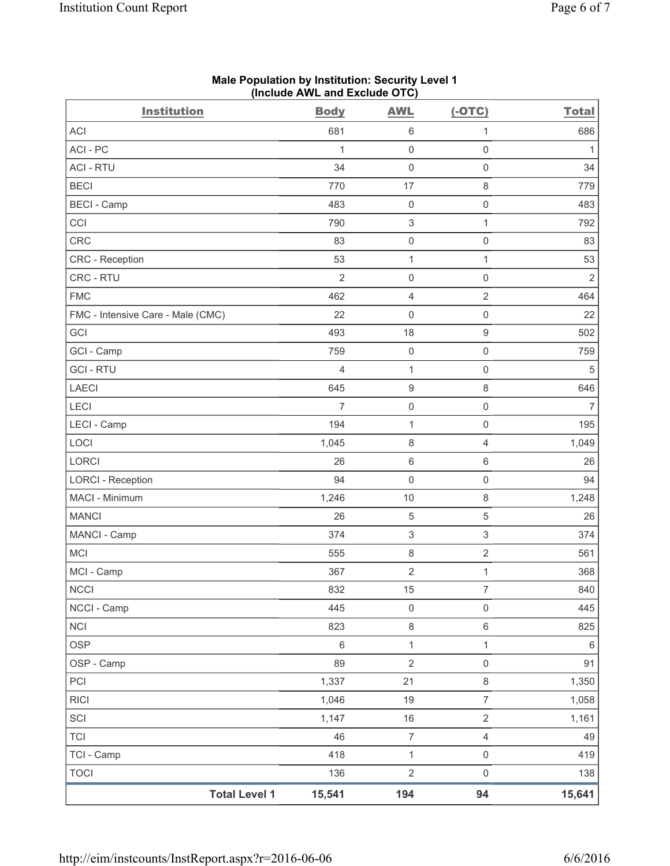| <b>Institution</b>                | <b>Body</b>    | <b>AWL</b>                | $(-OTC)$            | <b>Total</b>   |
|-----------------------------------|----------------|---------------------------|---------------------|----------------|
| <b>ACI</b>                        | 681            | 6                         | $\mathbf{1}$        | 686            |
| ACI - PC                          | $\mathbf{1}$   | 0                         | $\mathsf{O}\xspace$ | 1              |
| <b>ACI - RTU</b>                  | 34             | $\mathsf 0$               | $\mathsf 0$         | 34             |
| <b>BECI</b>                       | 770            | 17                        | $\,8\,$             | 779            |
| <b>BECI</b> - Camp                | 483            | $\mathsf{O}\xspace$       | $\mathbf 0$         | 483            |
| CCI                               | 790            | $\ensuremath{\mathsf{3}}$ | $\mathbf{1}$        | 792            |
| CRC                               | 83             | 0                         | $\mathsf 0$         | 83             |
| <b>CRC</b> - Reception            | 53             | $\mathbf{1}$              | $\mathbf{1}$        | 53             |
| CRC - RTU                         | $\overline{2}$ | 0                         | $\mathsf{O}\xspace$ | $\sqrt{2}$     |
| <b>FMC</b>                        | 462            | 4                         | $\sqrt{2}$          | 464            |
| FMC - Intensive Care - Male (CMC) | 22             | 0                         | $\mathsf{O}\xspace$ | 22             |
| GCI                               | 493            | 18                        | $\hbox{9}$          | 502            |
| GCI - Camp                        | 759            | $\mathsf 0$               | $\mathsf{O}\xspace$ | 759            |
| <b>GCI-RTU</b>                    | $\overline{4}$ | $\mathbf 1$               | $\mathsf{O}\xspace$ | 5              |
| <b>LAECI</b>                      | 645            | $\boldsymbol{9}$          | $\,8\,$             | 646            |
| LECI                              | $\overline{7}$ | $\mathsf{O}\xspace$       | $\mathsf 0$         | $\overline{7}$ |
| LECI - Camp                       | 194            | $\mathbf{1}$              | $\mathsf{O}\xspace$ | 195            |
| LOCI                              | 1,045          | 8                         | $\overline{4}$      | 1,049          |
| LORCI                             | 26             | 6                         | $\,6\,$             | 26             |
| <b>LORCI - Reception</b>          | 94             | $\mathsf{O}\xspace$       | $\mathsf 0$         | 94             |
| MACI - Minimum                    | 1,246          | 10                        | $\,8\,$             | 1,248          |
| <b>MANCI</b>                      | 26             | 5                         | 5                   | 26             |
| MANCI - Camp                      | 374            | 3                         | $\,$ 3 $\,$         | 374            |
| <b>MCI</b>                        | 555            | 8                         | $\sqrt{2}$          | 561            |
| MCI - Camp                        | 367            | $\sqrt{2}$                | 1                   | 368            |
| NCCI                              | 832            | $15\,$                    | $\overline{7}$      | 840            |
| NCCI - Camp                       | 445            | $\mathsf{O}\xspace$       | $\mathsf 0$         | 445            |
| <b>NCI</b>                        | 823            | 8                         | $\,6\,$             | 825            |
| <b>OSP</b>                        | 6              | $\mathbf{1}$              | $\mathbf{1}$        | 6              |
| OSP - Camp                        | 89             | $\sqrt{2}$                | $\mathsf 0$         | 91             |
| PCI                               | 1,337          | 21                        | $\,8\,$             | 1,350          |
| <b>RICI</b>                       | 1,046          | 19                        | $\overline{7}$      | 1,058          |
| SCI                               | 1,147          | $16$                      | $\sqrt{2}$          | 1,161          |
| <b>TCI</b>                        | 46             | $\boldsymbol{7}$          | $\overline{4}$      | 49             |
| TCI - Camp                        | 418            | $\mathbf 1$               | $\mathsf{O}\xspace$ | 419            |
| <b>TOCI</b>                       | 136            | $\mathbf{2}$              | $\mathsf 0$         | 138            |
| <b>Total Level 1</b>              | 15,541         | 194                       | 94                  | 15,641         |

# **Male Population by Institution: Security Level 1 (Include AWL and Exclude OTC)**